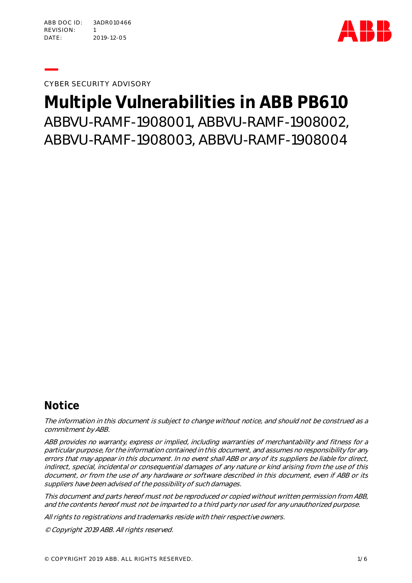ABB D O C ID : 3ADR 010 466 REVISION: 1 DATE: 2019-12-05



**—**CYBER SECURITY ADVISORY

# **Multiple Vulnerabilities in ABB PB610** ABBVU-RAMF-1908001, ABBVU-RAMF-1908002, ABBVU-RAMF-1908003, ABBVU-RAMF-1908004

### **Notice**

The information in this document is subject to change without notice, and should not be construed as a commitment by ABB.

ABB provides no warranty, express or implied, including warranties of merchantability and fitness for a particular purpose, for the information contained in this document, and assumes no responsibility for any errors that may appear in this document. In no event shall ABB or any of its suppliers be liable for direct, indirect, special, incidental or consequential damages of any nature or kind arising from the use of this document, or from the use of any hardware or software described in this document, even if ABB or its suppliers have been advised of the possibility of such damages.

This document and parts hereof must not be reproduced or copied without written permission from ABB, and the contents hereof must not be imparted to a third party nor used for any unauthorized purpose.

All rights to registrations and trademarks reside with their respective owners.

© Copyright 2019 ABB. All rights reserved.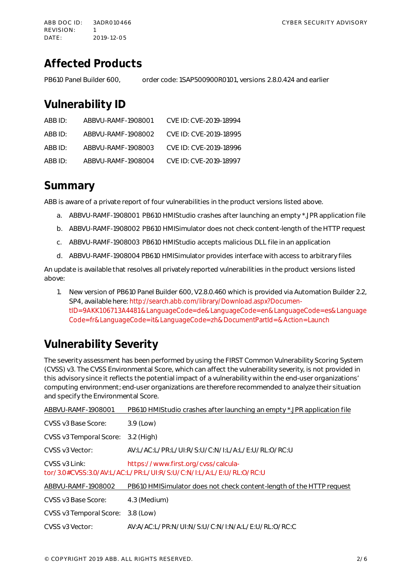### **Affected Products**

PB610 Panel Builder 600, order code: 1SAP500900R0101, versions 2.8.0.424 and earlier

### **Vulnerability ID**

| ABB ID: | ABBVU-RAMF-1908001 | CVE ID: CVE-2019-18994 |
|---------|--------------------|------------------------|
| ABB ID: | ABBVU-RAMF-1908002 | CVE ID: CVE-2019-18995 |
| ABB ID: | ABBVU-RAME-1908003 | CVE ID: CVE-2019-18996 |
| ABB ID: | ABBVU-RAMF-1908004 | CVE ID: CVE-2019-18997 |

### **Summary**

ABB is aware of a private report of four vulnerabilities in the product versions listed above.

- a. ABBVU-RAMF-1908001 PB610 HMIStudio crashes after launching an empty \*.JPR application file
- b. ABBVU-RAMF-1908002 PB610 HMISimulator does not check content-length of the HTTP request
- c. ABBVU-RAMF-1908003 PB610 HMIStudio accepts malicious DLL file in an application
- d. ABBVU-RAMF-1908004 PB610 HMISimulator provides interface with access to arbitrary files

An update is available that resolves all privately reported vulnerabilities in the product versions listed above:

1. New version of PB610 Panel Builder 600, V2.8.0.460 which is provided via Automation Builder 2.2, SP4, available here: http://search.abb.com/library/Download.aspx?DocumentID=9AKK106713A4481&LanguageCode=de&LanguageCode=en&LanguageCode=es&Language Code=fr&LanguageCode=it&LanguageCode=zh&DocumentPartId=&Action=Launch

# **Vulnerability Severity**

The severity assessment has been performed by using the FIRST Common Vulnerability Scoring System (CVSS) v3. The CVSS Environmental Score, which can affect the vulnerability severity, is not provided in this advisory since it reflects the potential impact of a vulnerability within the end-user organizations' computing environment; end-user organizations are therefore recommended to analyze their situation and specify the Environmental Score.

| ABBVU-RAMF-1908001                                                                                                      | PB610 HMIStudio crashes after launching an empty *.JPR application file |  |
|-------------------------------------------------------------------------------------------------------------------------|-------------------------------------------------------------------------|--|
| CVSS v3 Base Score:                                                                                                     | $3.9$ (Low)                                                             |  |
| CVSS v3 Temporal Score:                                                                                                 | 3.2 (High)                                                              |  |
| CVSS v3 Vector:                                                                                                         | AV:L/AC:L/PR:L/UI:R/S:U/C:N/I:L/A:L/E:U/RL:O/RC:U                       |  |
| CVSS v3 Link:<br>https://www.first.org/cvss/calcula-<br>tor/3.0#CVSS:3.0/AV:L/AC:L/PR:L/ULR/S:U/C:N/L/A:L/E:U/RL:O/RC:U |                                                                         |  |
| ABBVU-RAMF-1908002                                                                                                      | PB610 HMISimulator does not check content-length of the HTTP request    |  |
| CVSS v3 Base Score:                                                                                                     | 4.3 (Medium)                                                            |  |
| CVSS v3 Temporal Score:                                                                                                 | $3.8$ (Low)                                                             |  |
| CVSS v3 Vector:                                                                                                         | AV:A/AC:L/PR:N/UI:N/S:U/C:N/I:N/A:L/E:U/RL:O/RC:C                       |  |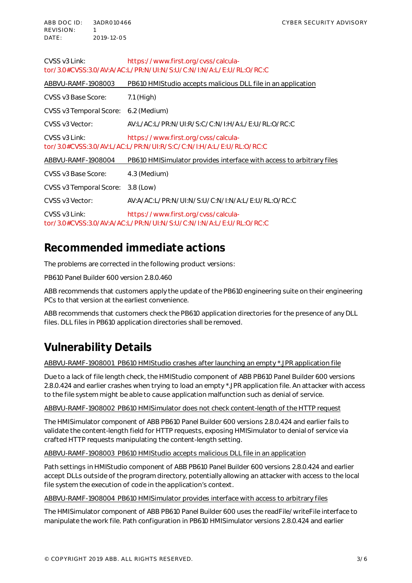| https://www.first.org/cvss/calcula-<br>CVSS v3 Link:<br>tor/3.0#CVSS:3.0/AV:A/AC:L/PR:N/UI:N/S:U/C:N/I:N/A:L/E:U/RL:O/RC:C |                                                                      |  |  |
|----------------------------------------------------------------------------------------------------------------------------|----------------------------------------------------------------------|--|--|
| ABBVU-RAMF-1908003                                                                                                         | PB610 HMIStudio accepts malicious DLL file in an application         |  |  |
| CVSS v3 Base Score:                                                                                                        | $7.1$ (High)                                                         |  |  |
| CVSS v3 Temporal Score:                                                                                                    | 6.2 (Medium)                                                         |  |  |
| CVSS v3 Vector:                                                                                                            | AV:L/AC:L/PR:N/ULR/S:C/C:N/LH/A:L/E:U/RL:O/RC:C                      |  |  |
| CVSS v3 Link:<br>https://www.first.org/cvss/calcula-<br>tor/3.0#CVSS:3.0/AV:L/AC:L/PR:N/UI:R/S:C/C:N/I:H/A:L/E:U/RL:O/RC:C |                                                                      |  |  |
| ABBVU-RAMF-1908004                                                                                                         | PB610 HMISimulator provides interface with access to arbitrary files |  |  |
| CVSS v3 Base Score:                                                                                                        | 4.3 (Medium)                                                         |  |  |
| CVSS v3 Temporal Score:                                                                                                    | 3.8 (Low)                                                            |  |  |
| CVSS v3 Vector:                                                                                                            | AV:A/AC:L/PR:N/UI:N/S:U/C:N/I:N/A:L/E:U/RL:O/RC:C                    |  |  |
| CVSS v3 Link:<br>https://www.first.org/cvss/calcula-<br>tor/3.0#CVSS:3.0/AV:A/AC:L/PR:N/ULN/S:U/C:N/L:N/A:L/E:U/RL:O/RC:C  |                                                                      |  |  |

### **Recommended immediate actions**

The problems are corrected in the following product versions:

PB610 Panel Builder 600 version 2.8.0.460

ABB recommends that customers apply the update of the PB610 engineering suite on their engineering PCs to that version at the earliest convenience.

ABB recommends that customers check the PB610 application directories for the presence of any DLL files. DLL files in PB610 application directories shall be removed.

## **Vulnerability Details**

ABBVU-RAMF-1908001 PB610 HMIStudio crashes after launching an empty \*.JPR application file

Due to a lack of file length check, the HMIStudio component of ABB PB610 Panel Builder 600 versions 2.8.0.424 and earlier crashes when trying to load an empty \*.JPR application file. An attacker with access to the file system might be able to cause application malfunction such as denial of service.

#### ABBVU-RAMF-1908002 PB610 HMISimulator does not check content-length of the HTTP request

The HMISimulator component of ABB PB610 Panel Builder 600 versions 2.8.0.424 and earlier fails to validate the content-length field for HTTP requests, exposing HMISimulator to denial of service via crafted HTTP requests manipulating the content-length setting.

ABBVU-RAMF-1908003 PB610 HMIStudio accepts malicious DLL file in an application

Path settings in HMIStudio component of ABB PB610 Panel Builder 600 versions 2.8.0.424 and earlier accept DLLs outside of the program directory, potentially allowing an attacker with access to the local file system the execution of code in the application's context.

ABBVU-RAMF-1908004 PB610 HMISimulator provides interface with access to arbitrary files

The HMISimulator component of ABB PB610 Panel Builder 600 uses the readFile/writeFile interface to manipulate the work file. Path configuration in PB610 HMISimulator versions 2.8.0.424 and earlier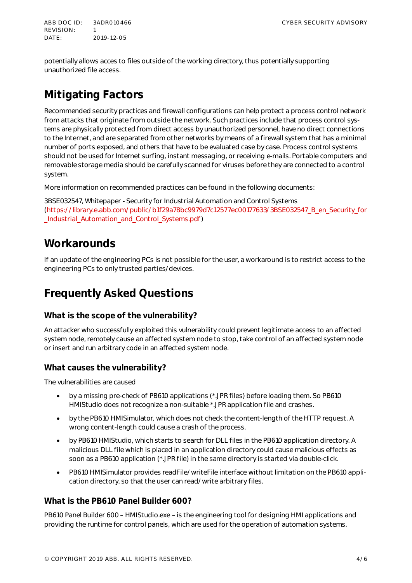ABB DOCTD: 3ADR010466 CYBER SECURITY ADVISORY REVIS IO N: 1 DATE: 2019-12-05

potentially allows acces to files outside of the working directory, thus potentially supporting unauthorized file access.

# **Mitigating Factors**

Recommended security practices and firewall configurations can help protect a process control network from attacks that originate from outside the network. Such practices include that process control systems are physically protected from direct access by unauthorized personnel, have no direct connections to the Internet, and are separated from other networks by means of a firewall system that has a minimal number of ports exposed, and others that have to be evaluated case by case. Process control systems should not be used for Internet surfing, instant messaging, or receiving e-mails. Portable computers and removable storage media should be carefully scanned for viruses before they are connected to a control system.

More information on recommended practices can be found in the following documents:

3BSE032547, Whitepaper - Security for Industrial Automation and Control Systems (https://library.e.abb.com/public/b1f29a78bc9979d7c12577ec00177633/3BSE032547\_B\_en\_Security\_for \_Industrial\_Automation\_and\_Control\_Systems.pdf)

### **Workarounds**

If an update of the engineering PCs is not possible for the user, a workaround is to restrict access to the engineering PCs to only trusted parties/devices.

### **Frequently Asked Questions**

### **What is the scope of the vulnerability?**

An attacker who successfully exploited this vulnerability could prevent legitimate access to an affected system node, remotely cause an affected system node to stop, take control of an affected system node or insert and run arbitrary code in an affected system node.

### **What causes the vulnerability?**

The vulnerabilities are caused

- · by a missing pre-check of PB610 applications (\*.JPR files) before loading them. So PB610 HMIStudio does not recognize a non-suitable \*.JPR application file and crashes.
- by the PB610 HMISimulator, which does not check the content-length of the HTTP request. A wrong content-length could cause a crash of the process.
- by PB610 HMIStudio, which starts to search for DLL files in the PB610 application directory. A malicious DLL file which is placed in an application directory could cause malicious effects as soon as a PB610 application (\*.JPR file) in the same directory is started via double-click.
- · PB610 HMISimulator provides readFile/writeFile interface without limitation on the PB610 application directory, so that the user can read/write arbitrary files.

#### **What is the PB610 Panel Builder 600?**

PB610 Panel Builder 600 – HMIStudio.exe – is the engineering tool for designing HMI applications and providing the runtime for control panels, which are used for the operation of automation systems.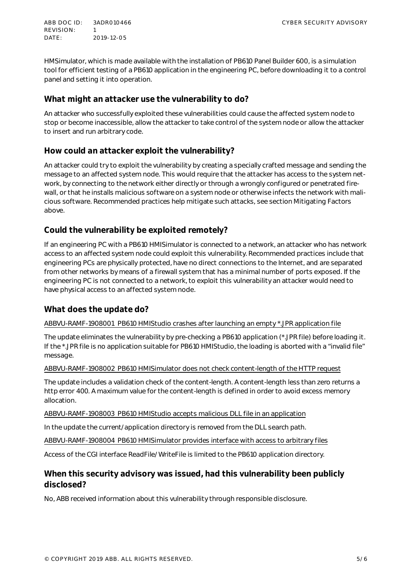ABB DOCTD: 3ADR010466 CYBER SECURITY ADVISORY REVISION: 1 DATE: 2019-12-05

HMSimulator, which is made available with the installation of PB610 Panel Builder 600, is a simulation tool for efficient testing of a PB610 application in the engineering PC, before downloading it to a control panel and setting it into operation.

#### **What might an attacker use the vulnerability to do?**

An attacker who successfully exploited these vulnerabilities could cause the affected system node to stop or become inaccessible, allow the attacker to take control of the system node or allow the attacker to insert and run arbitrary code.

### **How could an attacker exploit the vulnerability?**

An attacker could try to exploit the vulnerability by creating a specially crafted message and sending the message to an affected system node. This would require that the attacker has access to the system network, by connecting to the network either directly or through a wrongly configured or penetrated firewall, or that he installs malicious software on a system node or otherwise infects the network with malicious software. Recommended practices help mitigate such attacks, see section Mitigating Factors above.

### **Could the vulnerability be exploited remotely?**

If an engineering PC with a PB610 HMISimulator is connected to a network, an attacker who has network access to an affected system node could exploit this vulnerability. Recommended practices include that engineering PCs are physically protected, have no direct connections to the Internet, and are separated from other networks by means of a firewall system that has a minimal number of ports exposed. If the engineering PC is not connected to a network, to exploit this vulnerability an attacker would need to have physical access to an affected system node.

#### **What does the update do?**

#### ABBVU-RAMF-1908001 PB610 HMIStudio crashes after launching an empty \*.JPR application file

The update eliminates the vulnerability by pre-checking a PB610 application (\*.JPR file) before loading it. If the \*.JPR file is no application suitable for PB610 HMIStudio, the loading is aborted with a "invalid file" message.

#### ABBVU-RAMF-1908002 PB610 HMISimulator does not check content-length of the HTTP request

The update includes a validation check of the content-length. A content-length less than zero returns a http error 400. A maximum value for the content-length is defined in order to avoid excess memory allocation.

ABBVU-RAMF-1908003 PB610 HMIStudio accepts malicious DLL file in an application

In the update the current/application directory is removed from the DLL search path.

ABBVU-RAMF-1908004 PB610 HMISimulator provides interface with access to arbitrary files

Access of the CGI interface ReadFile/WriteFile is limited to the PB610 application directory.

#### **When this security advisory was issued, had this vulnerability been publicly disclosed?**

No, ABB received information about this vulnerability through responsible disclosure.